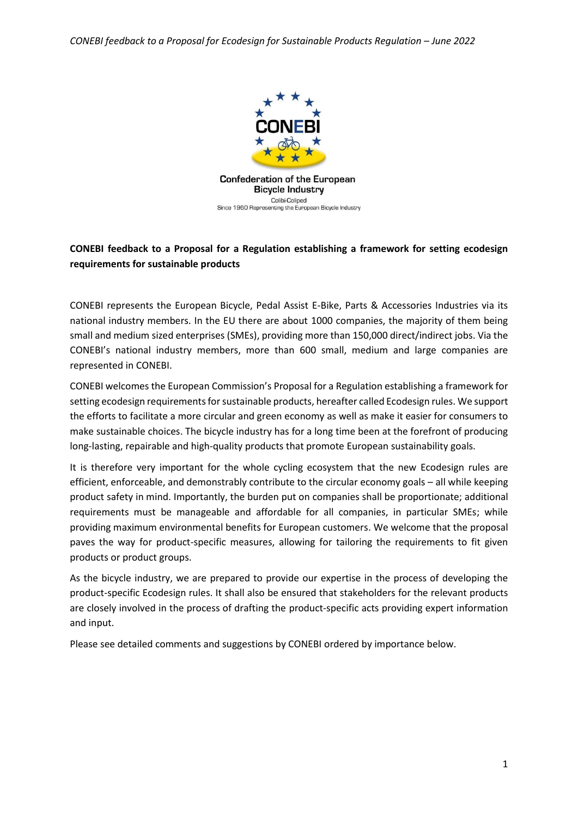*CONEBI feedback to a Proposal for Ecodesign for Sustainable Products Regulation – June 2022*



# **CONEBI feedback to a Proposal for a Regulation establishing a framework for setting ecodesign requirements for sustainable products**

CONEBI represents the European Bicycle, Pedal Assist E-Bike, Parts & Accessories Industries via its national industry members. In the EU there are about 1000 companies, the majority of them being small and medium sized enterprises (SMEs), providing more than 150,000 direct/indirect jobs. Via the CONEBI's national industry members, more than 600 small, medium and large companies are represented in CONEBI.

CONEBI welcomes the European Commission's Proposal for a Regulation establishing a framework for setting ecodesign requirements for sustainable products, hereafter called Ecodesign rules. We support the efforts to facilitate a more circular and green economy as well as make it easier for consumers to make sustainable choices. The bicycle industry has for a long time been at the forefront of producing long-lasting, repairable and high-quality products that promote European sustainability goals.

It is therefore very important for the whole cycling ecosystem that the new Ecodesign rules are efficient, enforceable, and demonstrably contribute to the circular economy goals – all while keeping product safety in mind. Importantly, the burden put on companies shall be proportionate; additional requirements must be manageable and affordable for all companies, in particular SMEs; while providing maximum environmental benefits for European customers. We welcome that the proposal paves the way for product-specific measures, allowing for tailoring the requirements to fit given products or product groups.

As the bicycle industry, we are prepared to provide our expertise in the process of developing the product-specific Ecodesign rules. It shall also be ensured that stakeholders for the relevant products are closely involved in the process of drafting the product-specific acts providing expert information and input.

Please see detailed comments and suggestions by CONEBI ordered by importance below.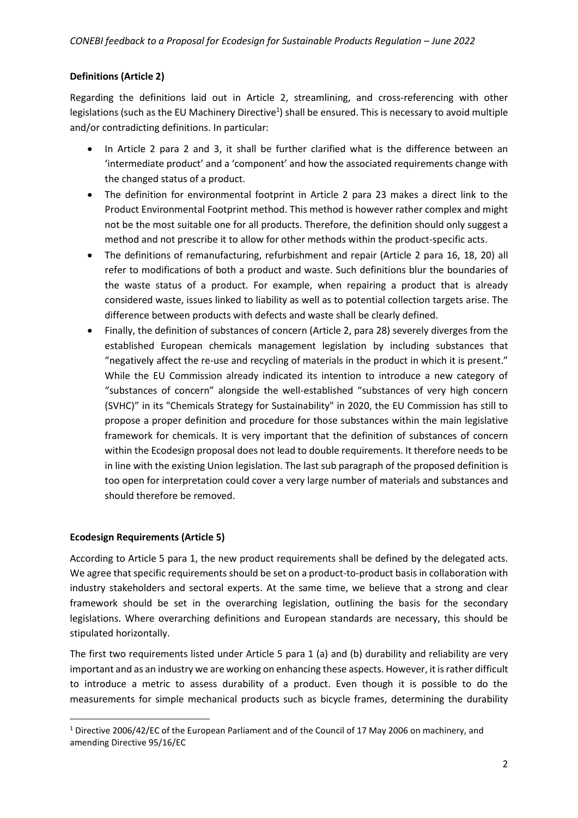# **Definitions (Article 2)**

Regarding the definitions laid out in Article 2, streamlining, and cross-referencing with other legislations (such as the EU Machinery Directive<sup>1</sup>) shall be ensured. This is necessary to avoid multiple and/or contradicting definitions. In particular:

- In Article 2 para 2 and 3, it shall be further clarified what is the difference between an 'intermediate product' and a 'component' and how the associated requirements change with the changed status of a product.
- The definition for environmental footprint in Article 2 para 23 makes a direct link to the Product Environmental Footprint method. This method is however rather complex and might not be the most suitable one for all products. Therefore, the definition should only suggest a method and not prescribe it to allow for other methods within the product-specific acts.
- The definitions of remanufacturing, refurbishment and repair (Article 2 para 16, 18, 20) all refer to modifications of both a product and waste. Such definitions blur the boundaries of the waste status of a product. For example, when repairing a product that is already considered waste, issues linked to liability as well as to potential collection targets arise. The difference between products with defects and waste shall be clearly defined.
- Finally, the definition of substances of concern (Article 2, para 28) severely diverges from the established European chemicals management legislation by including substances that "negatively affect the re-use and recycling of materials in the product in which it is present." While the EU Commission already indicated its intention to introduce a new category of "substances of concern" alongside the well-established "substances of very high concern (SVHC)" in its "Chemicals Strategy for Sustainability" in 2020, the EU Commission has still to propose a proper definition and procedure for those substances within the main legislative framework for chemicals. It is very important that the definition of substances of concern within the Ecodesign proposal does not lead to double requirements. It therefore needs to be in line with the existing Union legislation. The last sub paragraph of the proposed definition is too open for interpretation could cover a very large number of materials and substances and should therefore be removed.

# **Ecodesign Requirements (Article 5)**

According to Article 5 para 1, the new product requirements shall be defined by the delegated acts. We agree that specific requirements should be set on a product-to-product basis in collaboration with industry stakeholders and sectoral experts. At the same time, we believe that a strong and clear framework should be set in the overarching legislation, outlining the basis for the secondary legislations. Where overarching definitions and European standards are necessary, this should be stipulated horizontally.

The first two requirements listed under Article 5 para 1 (a) and (b) durability and reliability are very important and as an industry we are working on enhancing these aspects. However, it is rather difficult to introduce a metric to assess durability of a product. Even though it is possible to do the measurements for simple mechanical products such as bicycle frames, determining the durability

<sup>1</sup> Directive 2006/42/EC of the European Parliament and of the Council of 17 May 2006 on machinery, and amending Directive 95/16/EC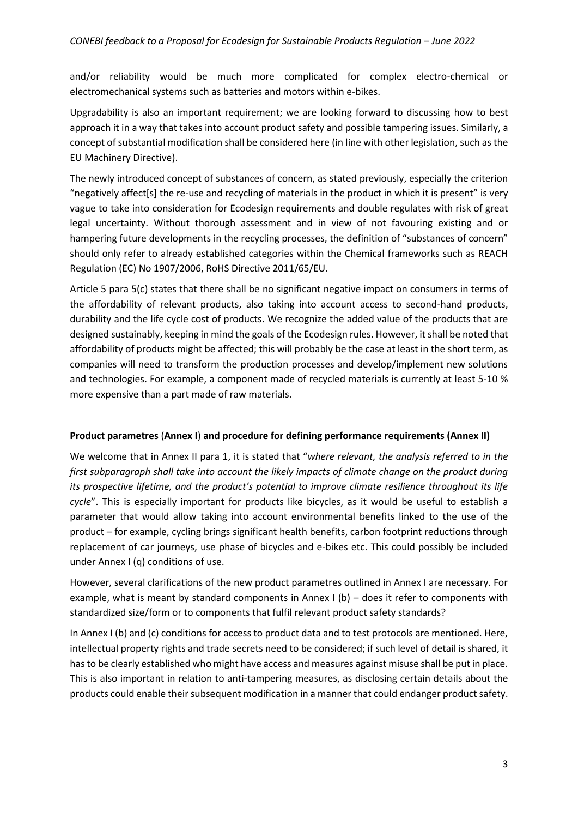and/or reliability would be much more complicated for complex electro-chemical or electromechanical systems such as batteries and motors within e-bikes.

Upgradability is also an important requirement; we are looking forward to discussing how to best approach it in a way that takes into account product safety and possible tampering issues. Similarly, a concept of substantial modification shall be considered here (in line with other legislation, such as the EU Machinery Directive).

The newly introduced concept of substances of concern, as stated previously, especially the criterion "negatively affect[s] the re-use and recycling of materials in the product in which it is present" is very vague to take into consideration for Ecodesign requirements and double regulates with risk of great legal uncertainty. Without thorough assessment and in view of not favouring existing and or hampering future developments in the recycling processes, the definition of "substances of concern" should only refer to already established categories within the Chemical frameworks such as REACH Regulation (EC) No 1907/2006, RoHS Directive 2011/65/EU.

Article 5 para 5(c) states that there shall be no significant negative impact on consumers in terms of the affordability of relevant products, also taking into account access to second-hand products, durability and the life cycle cost of products. We recognize the added value of the products that are designed sustainably, keeping in mind the goals of the Ecodesign rules. However, it shall be noted that affordability of products might be affected; this will probably be the case at least in the short term, as companies will need to transform the production processes and develop/implement new solutions and technologies. For example, a component made of recycled materials is currently at least 5-10 % more expensive than a part made of raw materials.

# **Product parametres** (**Annex I**) **and procedure for defining performance requirements (Annex II)**

We welcome that in Annex II para 1, it is stated that "*where relevant, the analysis referred to in the first subparagraph shall take into account the likely impacts of climate change on the product during its prospective lifetime, and the product's potential to improve climate resilience throughout its life cycle*". This is especially important for products like bicycles, as it would be useful to establish a parameter that would allow taking into account environmental benefits linked to the use of the product – for example, cycling brings significant health benefits, carbon footprint reductions through replacement of car journeys, use phase of bicycles and e-bikes etc. This could possibly be included under Annex I (q) conditions of use.

However, several clarifications of the new product parametres outlined in Annex I are necessary. For example, what is meant by standard components in Annex I (b) – does it refer to components with standardized size/form or to components that fulfil relevant product safety standards?

In Annex I (b) and (c) conditions for access to product data and to test protocols are mentioned. Here, intellectual property rights and trade secrets need to be considered; if such level of detail is shared, it has to be clearly established who might have access and measures against misuse shall be put in place. This is also important in relation to anti-tampering measures, as disclosing certain details about the products could enable their subsequent modification in a manner that could endanger product safety.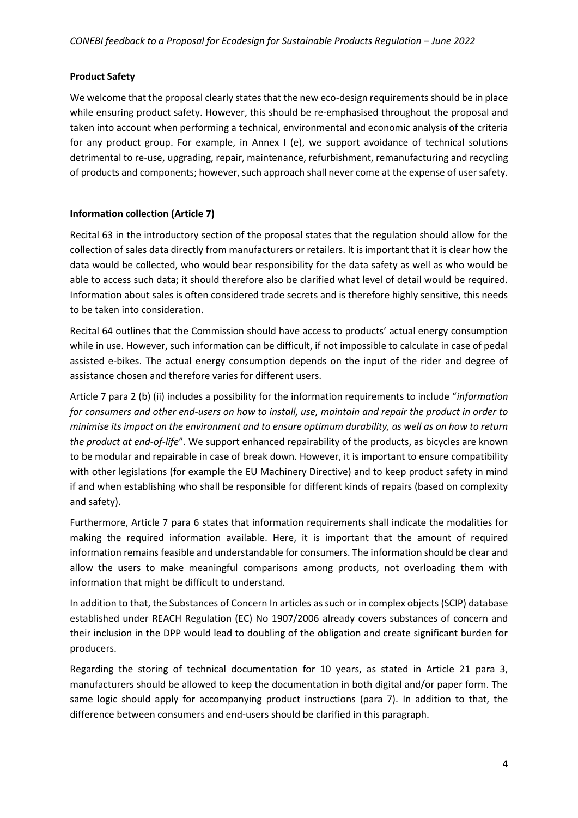# **Product Safety**

We welcome that the proposal clearly states that the new eco-design requirements should be in place while ensuring product safety. However, this should be re-emphasised throughout the proposal and taken into account when performing a technical, environmental and economic analysis of the criteria for any product group. For example, in Annex I (e), we support avoidance of technical solutions detrimental to re-use, upgrading, repair, maintenance, refurbishment, remanufacturing and recycling of products and components; however, such approach shall never come at the expense of user safety.

# **Information collection (Article 7)**

Recital 63 in the introductory section of the proposal states that the regulation should allow for the collection of sales data directly from manufacturers or retailers. It is important that it is clear how the data would be collected, who would bear responsibility for the data safety as well as who would be able to access such data; it should therefore also be clarified what level of detail would be required. Information about sales is often considered trade secrets and is therefore highly sensitive, this needs to be taken into consideration.

Recital 64 outlines that the Commission should have access to products' actual energy consumption while in use. However, such information can be difficult, if not impossible to calculate in case of pedal assisted e-bikes. The actual energy consumption depends on the input of the rider and degree of assistance chosen and therefore varies for different users.

Article 7 para 2 (b) (ii) includes a possibility for the information requirements to include "*information for consumers and other end-users on how to install, use, maintain and repair the product in order to minimise its impact on the environment and to ensure optimum durability, as well as on how to return the product at end-of-life*". We support enhanced repairability of the products, as bicycles are known to be modular and repairable in case of break down. However, it is important to ensure compatibility with other legislations (for example the EU Machinery Directive) and to keep product safety in mind if and when establishing who shall be responsible for different kinds of repairs (based on complexity and safety).

Furthermore, Article 7 para 6 states that information requirements shall indicate the modalities for making the required information available. Here, it is important that the amount of required information remains feasible and understandable for consumers. The information should be clear and allow the users to make meaningful comparisons among products, not overloading them with information that might be difficult to understand.

In addition to that, the Substances of Concern In articles as such or in complex objects (SCIP) database established under REACH Regulation (EC) No 1907/2006 already covers substances of concern and their inclusion in the DPP would lead to doubling of the obligation and create significant burden for producers.

Regarding the storing of technical documentation for 10 years, as stated in Article 21 para 3, manufacturers should be allowed to keep the documentation in both digital and/or paper form. The same logic should apply for accompanying product instructions (para 7). In addition to that, the difference between consumers and end-users should be clarified in this paragraph.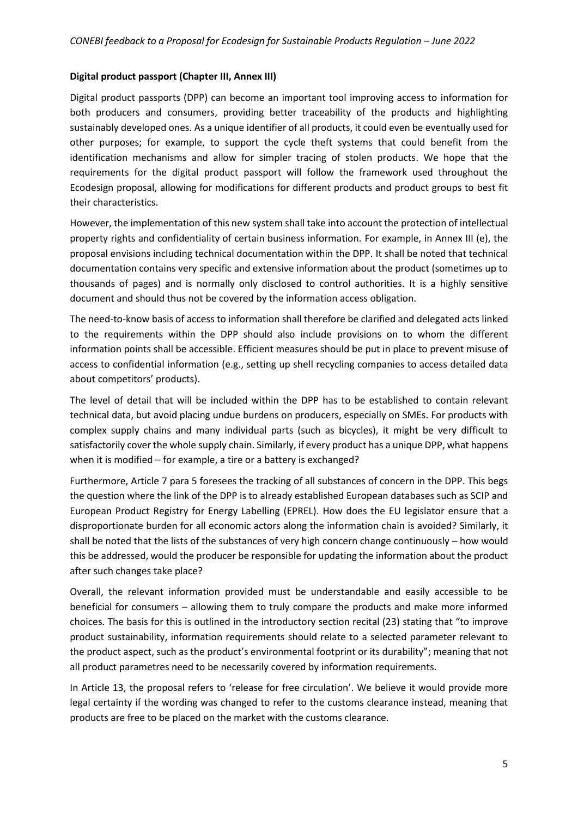#### **Digital product passport (Chapter III, Annex III)**

Digital product passports (DPP) can become an important tool improving access to information for both producers and consumers, providing better traceability of the products and highlighting sustainably developed ones. As a unique identifier of all products, it could even be eventually used for other purposes; for example, to support the cycle theft systems that could benefit from the identification mechanisms and allow for simpler tracing of stolen products. We hope that the requirements for the digital product passport will follow the framework used throughout the Ecodesign proposal, allowing for modifications for different products and product groups to best fit their characteristics.

However, the implementation of this new system shall take into account the protection of intellectual property rights and confidentiality of certain business information. For example, in Annex III (e), the proposal envisions including technical documentation within the DPP. It shall be noted that technical documentation contains very specific and extensive information about the product (sometimes up to thousands of pages) and is normally only disclosed to control authorities. It is a highly sensitive document and should thus not be covered by the information access obligation.

The need-to-know basis of access to information shall therefore be clarified and delegated acts linked to the requirements within the DPP should also include provisions on to whom the different information points shall be accessible. Efficient measures should be put in place to prevent misuse of access to confidential information (e.g., setting up shell recycling companies to access detailed data about competitors' products).

The level of detail that will be included within the DPP has to be established to contain relevant technical data, but avoid placing undue burdens on producers, especially on SMEs. For products with complex supply chains and many individual parts (such as bicycles), it might be very difficult to satisfactorily cover the whole supply chain. Similarly, if every product has a unique DPP, what happens when it is modified – for example, a tire or a battery is exchanged?

Furthermore, Article 7 para 5 foresees the tracking of all substances of concern in the DPP. This begs the question where the link of the DPP is to already established European databases such as SCIP and European Product Registry for Energy Labelling (EPREL). How does the EU legislator ensure that a disproportionate burden for all economic actors along the information chain is avoided? Similarly, it shall be noted that the lists of the substances of very high concern change continuously – how would this be addressed, would the producer be responsible for updating the information about the product after such changes take place?

Overall, the relevant information provided must be understandable and easily accessible to be beneficial for consumers – allowing them to truly compare the products and make more informed choices. The basis for this is outlined in the introductory section recital (23) stating that "to improve product sustainability, information requirements should relate to a selected parameter relevant to the product aspect, such as the product's environmental footprint or its durability"; meaning that not all product parametres need to be necessarily covered by information requirements.

In Article 13, the proposal refers to 'release for free circulation'. We believe it would provide more legal certainty if the wording was changed to refer to the customs clearance instead, meaning that products are free to be placed on the market with the customs clearance.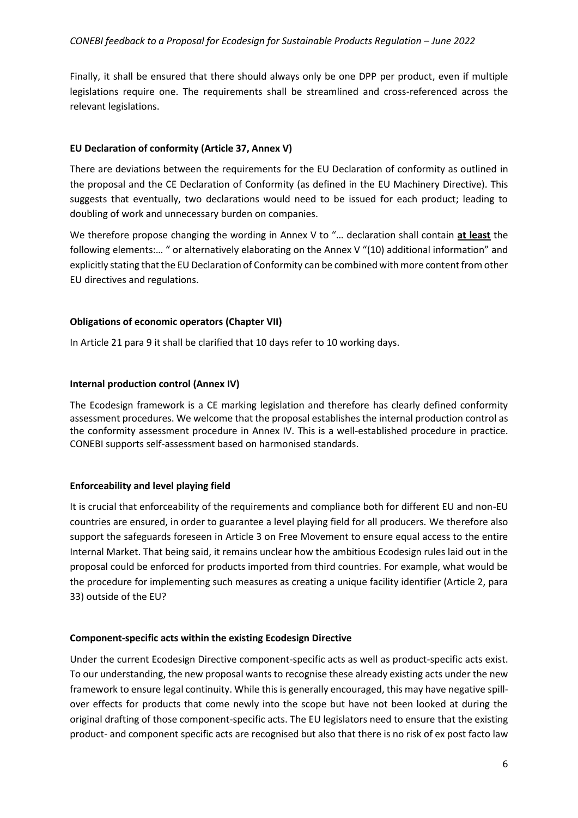Finally, it shall be ensured that there should always only be one DPP per product, even if multiple legislations require one. The requirements shall be streamlined and cross-referenced across the relevant legislations.

### **EU Declaration of conformity (Article 37, Annex V)**

There are deviations between the requirements for the EU Declaration of conformity as outlined in the proposal and the CE Declaration of Conformity (as defined in the EU Machinery Directive). This suggests that eventually, two declarations would need to be issued for each product; leading to doubling of work and unnecessary burden on companies.

We therefore propose changing the wording in Annex V to "… declaration shall contain **at least** the following elements:... " or alternatively elaborating on the Annex V "(10) additional information" and explicitly stating that the EU Declaration of Conformity can be combined with more content from other EU directives and regulations.

### **Obligations of economic operators (Chapter VII)**

In Article 21 para 9 it shall be clarified that 10 days refer to 10 working days.

### **Internal production control (Annex IV)**

The Ecodesign framework is a CE marking legislation and therefore has clearly defined conformity assessment procedures. We welcome that the proposal establishes the internal production control as the conformity assessment procedure in Annex IV. This is a well-established procedure in practice. CONEBI supports self-assessment based on harmonised standards.

# **Enforceability and level playing field**

It is crucial that enforceability of the requirements and compliance both for different EU and non-EU countries are ensured, in order to guarantee a level playing field for all producers. We therefore also support the safeguards foreseen in Article 3 on Free Movement to ensure equal access to the entire Internal Market. That being said, it remains unclear how the ambitious Ecodesign rules laid out in the proposal could be enforced for products imported from third countries. For example, what would be the procedure for implementing such measures as creating a unique facility identifier (Article 2, para 33) outside of the EU?

#### **Component-specific acts within the existing Ecodesign Directive**

Under the current Ecodesign Directive component-specific acts as well as product-specific acts exist. To our understanding, the new proposal wants to recognise these already existing acts under the new framework to ensure legal continuity. While this is generally encouraged, this may have negative spillover effects for products that come newly into the scope but have not been looked at during the original drafting of those component-specific acts. The EU legislators need to ensure that the existing product- and component specific acts are recognised but also that there is no risk of ex post facto law